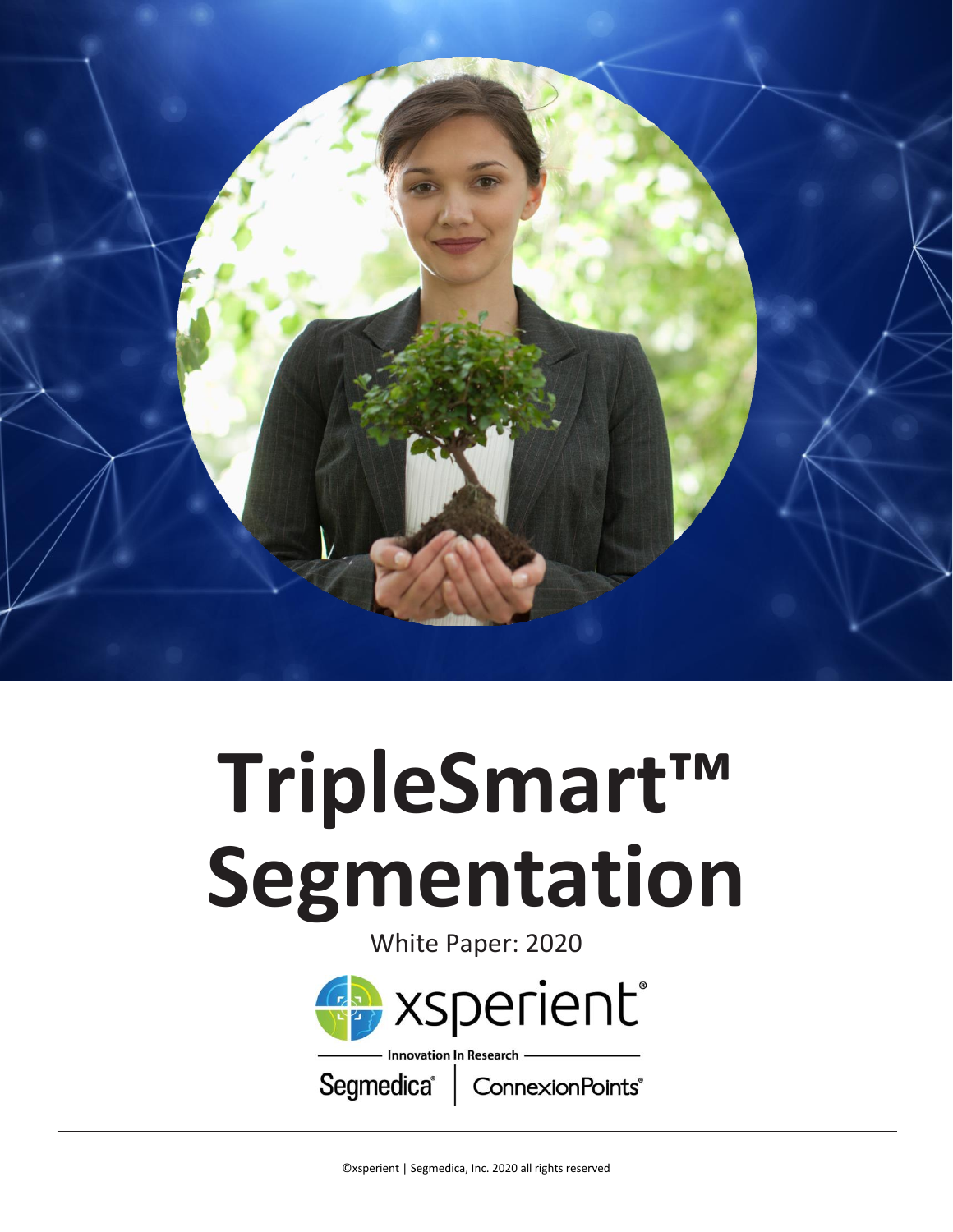

## **TripleSmart™ Segmentation**

White Paper: 2020



ConnexionPoints<sup>®</sup>

Segmedica<sup>®</sup>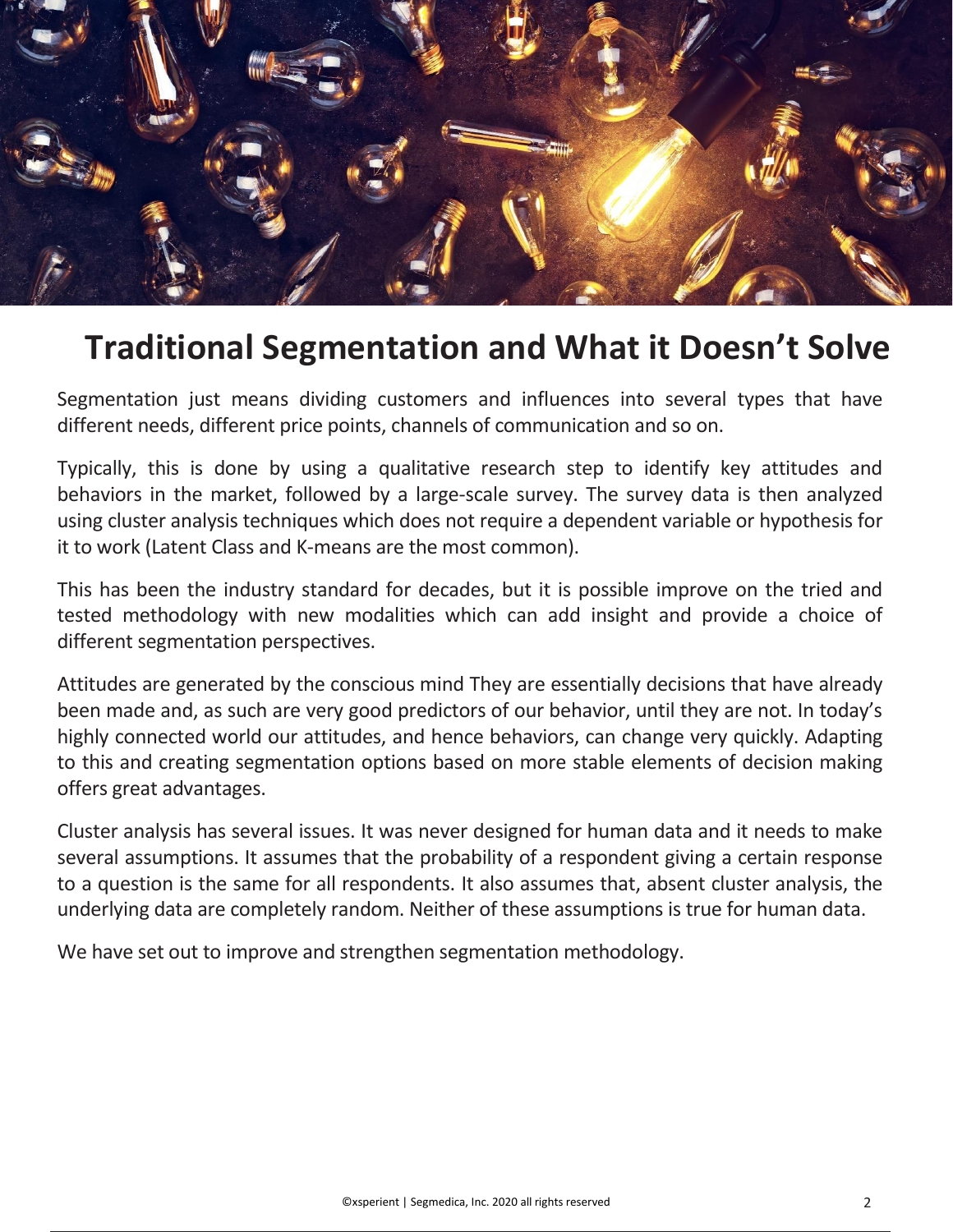

## **Traditional Segmentation and What it Doesn't Solve**

Segmentation just means dividing customers and influences into several types that have different needs, different price points, channels of communication and so on.

Typically, this is done by using a qualitative research step to identify key attitudes and behaviors in the market, followed by a large-scale survey. The survey data is then analyzed using cluster analysis techniques which does not require a dependent variable or hypothesis for it to work (Latent Class and K-means are the most common).

This has been the industry standard for decades, but it is possible improve on the tried and tested methodology with new modalities which can add insight and provide a choice of different segmentation perspectives.

Attitudes are generated by the conscious mind They are essentially decisions that have already been made and, as such are very good predictors of our behavior, until they are not. In today's highly connected world our attitudes, and hence behaviors, can change very quickly. Adapting to this and creating segmentation options based on more stable elements of decision making offers great advantages.

Cluster analysis has several issues. It was never designed for human data and it needs to make several assumptions. It assumes that the probability of a respondent giving a certain response to a question is the same for all respondents. It also assumes that, absent cluster analysis, the underlying data are completely random. Neither of these assumptions is true for human data.

We have set out to improve and strengthen segmentation methodology.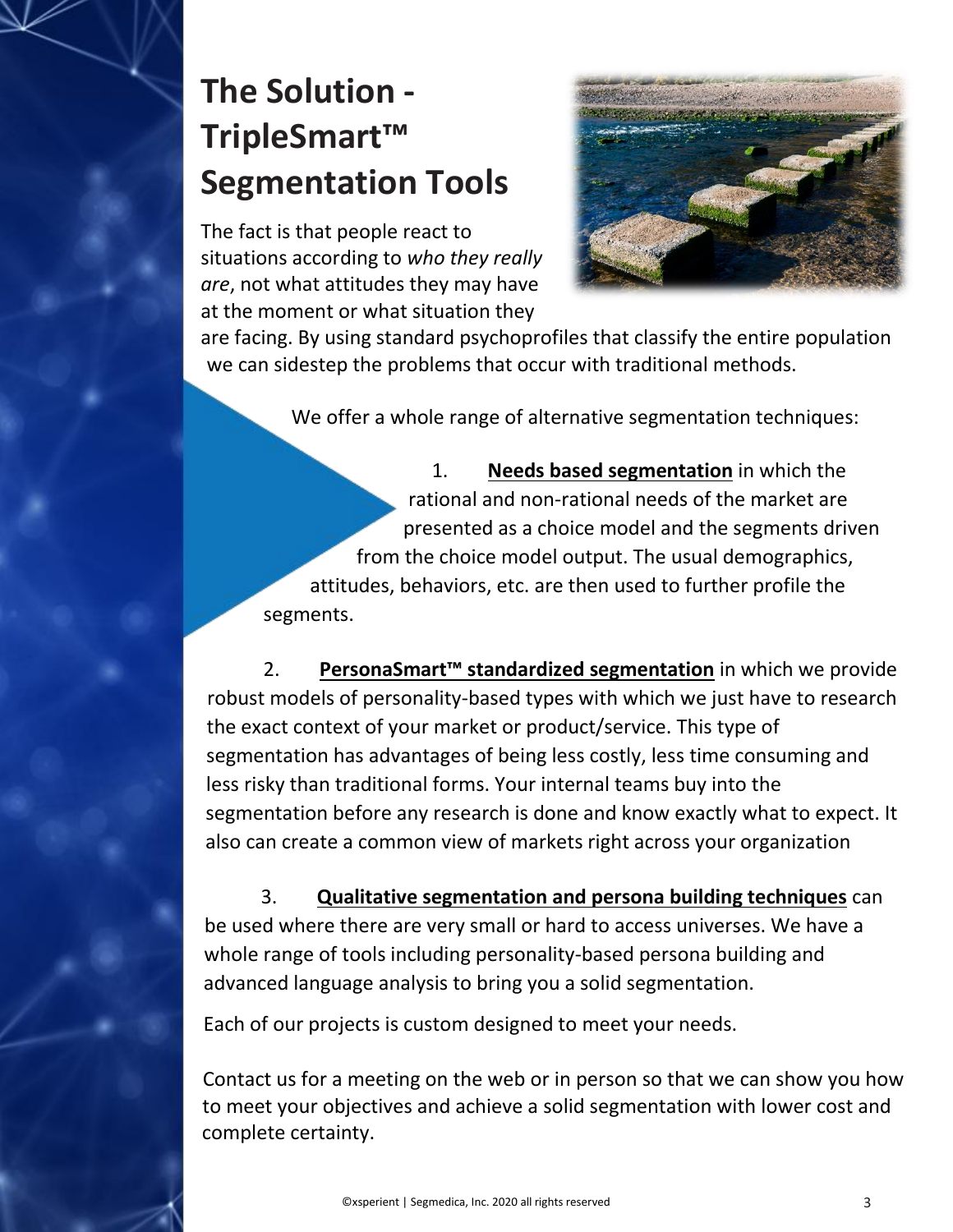## **The Solution - TripleSmart™ Segmentation Tools**

The fact is that people react to situations according to *who they really are*, not what attitudes they may have at the moment or what situation they



are facing. By using standard psychoprofiles that classify the entire population we can sidestep the problems that occur with traditional methods.

We offer a whole range of alternative segmentation techniques:

1. **Needs based segmentation** in which the rational and non-rational needs of the market are presented as a choice model and the segments driven from the choice model output. The usual demographics, attitudes, behaviors, etc. are then used to further profile the segments.

2. **PersonaSmart™ standardized segmentation** in which we provide robust models of personality-based types with which we just have to research the exact context of your market or product/service. This type of segmentation has advantages of being less costly, less time consuming and less risky than traditional forms. Your internal teams buy into the segmentation before any research is done and know exactly what to expect. It also can create a common view of markets right across your organization

3. **Qualitative segmentation and persona building techniques** can be used where there are very small or hard to access universes. We have a whole range of tools including personality-based persona building and advanced language analysis to bring you a solid segmentation.

Each of our projects is custom designed to meet your needs.

Contact us for a meeting on the web or in person so that we can show you how to meet your objectives and achieve a solid segmentation with lower cost and complete certainty.